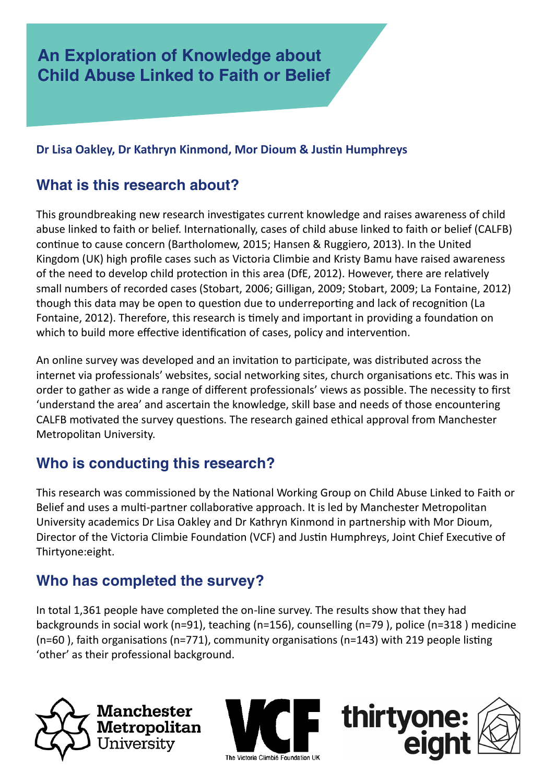## **Dr Lisa Oakley, Dr Kathryn Kinmond, Mor Dioum & Justin Humphreys**

## **What is this research about?**

This groundbreaking new research investigates current knowledge and raises awareness of child abuse linked to faith or belief. Internationally, cases of child abuse linked to faith or belief (CALFB) continue to cause concern (Bartholomew, 2015; Hansen & Ruggiero, 2013). In the United Kingdom (UK) high profile cases such as Victoria Climbie and Kristy Bamu have raised awareness of the need to develop child protection in this area (DfE, 2012). However, there are relatively small numbers of recorded cases (Stobart, 2006; Gilligan, 2009; Stobart, 2009; La Fontaine, 2012) though this data may be open to question due to underreporting and lack of recognition (La Fontaine, 2012). Therefore, this research is timely and important in providing a foundation on which to build more effective identification of cases, policy and intervention.

An online survey was developed and an invitation to participate, was distributed across the internet via professionals' websites, social networking sites, church organisations etc. This was in order to gather as wide a range of different professionals' views as possible. The necessity to first 'understand the area' and ascertain the knowledge, skill base and needs of those encountering CALFB motivated the survey questions. The research gained ethical approval from Manchester Metropolitan University.

## **Who is conducting this research?**

This research was commissioned by the National Working Group on Child Abuse Linked to Faith or Belief and uses a multi-partner collaborative approach. It is led by Manchester Metropolitan University academics Dr Lisa Oakley and Dr Kathryn Kinmond in partnership with Mor Dioum, Director of the Victoria Climbie Foundation (VCF) and Justin Humphreys, Joint Chief Executive of Thirtyone:eight.

## **Who has completed the survey?**

In total 1,361 people have completed the on-line survey. The results show that they had backgrounds in social work (n=91), teaching (n=156), counselling (n=79 ), police (n=318 ) medicine (n=60 ), faith organisations (n=771), community organisations (n=143) with 219 people listing 'other' as their professional background.





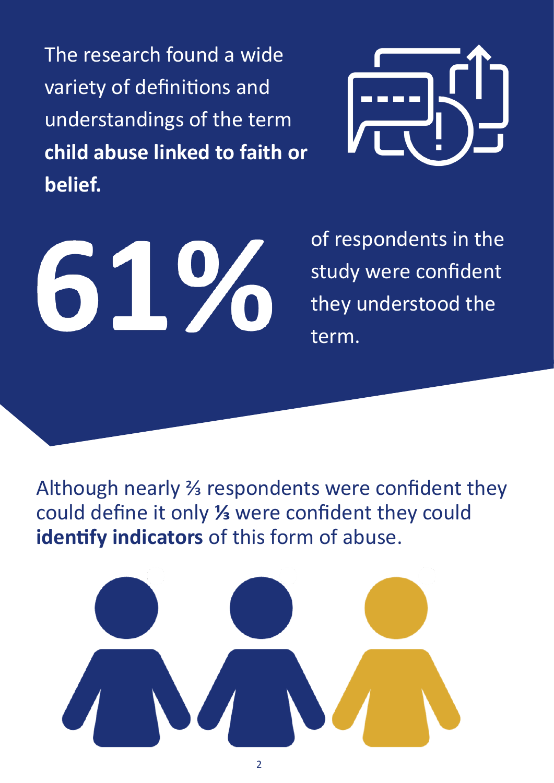The research found a wide variety of definitions and understandings of the term **child abuse linked to faith or belief.**



61%

of respondents in the study were confident they understood the term.

Although nearly ⅔ respondents were confident they could define it only **⅓** were confident they could **identify indicators** of this form of abuse.

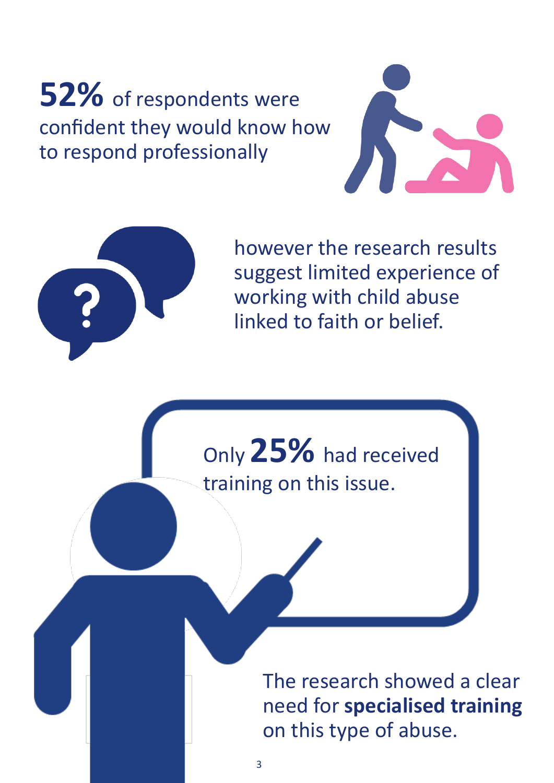**52%** of respondents were confident they would know how to respond professionally





however the research results suggest limited experience of working with child abuse linked to faith or belief.

Only **25%** had received training on this issue.

> The research showed a clear need for **specialised training** on this type of abuse.